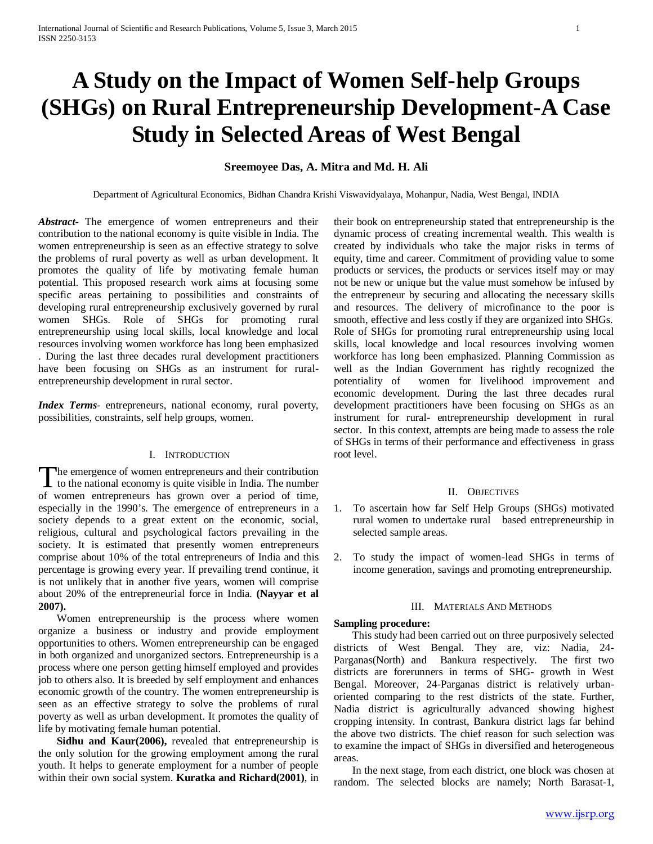# **A Study on the Impact of Women Self-help Groups (SHGs) on Rural Entrepreneurship Development-A Case Study in Selected Areas of West Bengal**

## **Sreemoyee Das, A. Mitra and Md. H. Ali**

Department of Agricultural Economics, Bidhan Chandra Krishi Viswavidyalaya, Mohanpur, Nadia, West Bengal, INDIA

*Abstract***-** The emergence of women entrepreneurs and their contribution to the national economy is quite visible in India. The women entrepreneurship is seen as an effective strategy to solve the problems of rural poverty as well as urban development. It promotes the quality of life by motivating female human potential. This proposed research work aims at focusing some specific areas pertaining to possibilities and constraints of developing rural entrepreneurship exclusively governed by rural women SHGs. Role of SHGs for promoting rural entrepreneurship using local skills, local knowledge and local resources involving women workforce has long been emphasized . During the last three decades rural development practitioners have been focusing on SHGs as an instrument for ruralentrepreneurship development in rural sector.

*Index Terms*- entrepreneurs, national economy, rural poverty, possibilities, constraints, self help groups, women.

#### I. INTRODUCTION

he emergence of women entrepreneurs and their contribution The emergence of women entrepreneurs and their contribution<br>to the national economy is quite visible in India. The number of women entrepreneurs has grown over a period of time, especially in the 1990's. The emergence of entrepreneurs in a society depends to a great extent on the economic, social, religious, cultural and psychological factors prevailing in the society. It is estimated that presently women entrepreneurs comprise about 10% of the total entrepreneurs of India and this percentage is growing every year. If prevailing trend continue, it is not unlikely that in another five years, women will comprise about 20% of the entrepreneurial force in India. **(Nayyar et al 2007).**

 Women entrepreneurship is the process where women organize a business or industry and provide employment opportunities to others. Women entrepreneurship can be engaged in both organized and unorganized sectors. Entrepreneurship is a process where one person getting himself employed and provides job to others also. It is breeded by self employment and enhances economic growth of the country. The women entrepreneurship is seen as an effective strategy to solve the problems of rural poverty as well as urban development. It promotes the quality of life by motivating female human potential.

 **Sidhu and Kaur(2006),** revealed that entrepreneurship is the only solution for the growing employment among the rural youth. It helps to generate employment for a number of people within their own social system. **Kuratka and Richard(2001)**, in their book on entrepreneurship stated that entrepreneurship is the dynamic process of creating incremental wealth. This wealth is created by individuals who take the major risks in terms of equity, time and career. Commitment of providing value to some products or services, the products or services itself may or may not be new or unique but the value must somehow be infused by the entrepreneur by securing and allocating the necessary skills and resources. The delivery of microfinance to the poor is smooth, effective and less costly if they are organized into SHGs. Role of SHGs for promoting rural entrepreneurship using local skills, local knowledge and local resources involving women workforce has long been emphasized. Planning Commission as well as the Indian Government has rightly recognized the potentiality of women for livelihood improvement and economic development. During the last three decades rural development practitioners have been focusing on SHGs as an instrument for rural- entrepreneurship development in rural sector. In this context, attempts are being made to assess the role of SHGs in terms of their performance and effectiveness in grass root level.

#### II. OBJECTIVES

- 1. To ascertain how far Self Help Groups (SHGs) motivated rural women to undertake rural based entrepreneurship in selected sample areas.
- 2. To study the impact of women-lead SHGs in terms of income generation, savings and promoting entrepreneurship.

#### III. MATERIALS AND METHODS

#### **Sampling procedure:**

 This study had been carried out on three purposively selected districts of West Bengal. They are, viz: Nadia, 24- Parganas(North) and Bankura respectively. The first two districts are forerunners in terms of SHG- growth in West Bengal. Moreover, 24-Parganas district is relatively urbanoriented comparing to the rest districts of the state. Further, Nadia district is agriculturally advanced showing highest cropping intensity. In contrast, Bankura district lags far behind the above two districts. The chief reason for such selection was to examine the impact of SHGs in diversified and heterogeneous areas.

 In the next stage, from each district, one block was chosen at random. The selected blocks are namely; North Barasat-1,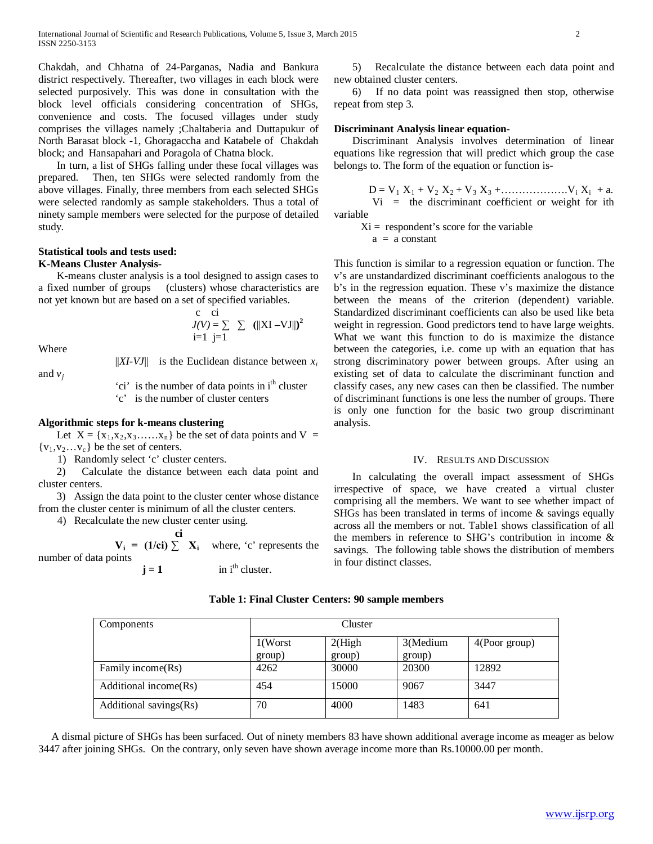Chakdah, and Chhatna of 24-Parganas, Nadia and Bankura district respectively. Thereafter, two villages in each block were selected purposively. This was done in consultation with the block level officials considering concentration of SHGs, convenience and costs. The focused villages under study comprises the villages namely ;Chaltaberia and Duttapukur of North Barasat block -1, Ghoragaccha and Katabele of Chakdah block; and Hansapahari and Poragola of Chatna block.

 In turn, a list of SHGs falling under these focal villages was prepared. Then, ten SHGs were selected randomly from the above villages. Finally, three members from each selected SHGs were selected randomly as sample stakeholders. Thus a total of ninety sample members were selected for the purpose of detailed study.

## **Statistical tools and tests used:**

## **K-Means Cluster Analysis-**

 K-means cluster analysis is a tool designed to assign cases to a fixed number of groups (clusters) whose characteristics are not yet known but are based on a set of specified variables.

Where

and  $v_i$ 

 $||XI-VJ||$  is the Euclidean distance between  $x_i$ 

 $J(V) = \sum \sum (||XI - VJ||)^2$ 

'ci' is the number of data points in i<sup>th</sup> cluster 'c' is the number of cluster centers

c ci

 $i=1$   $i=\overline{1}$ 

#### **Algorithmic steps for k-means clustering**

Let  $X = \{x_1, x_2, x_3, \dots, x_n\}$  be the set of data points and  $V =$  ${v_1, v_2...v_c}$  be the set of centers.

1) Randomly select 'c' cluster centers.

 2) Calculate the distance between each data point and cluster centers.

 3) Assign the data point to the cluster center whose distance from the cluster center is minimum of all the cluster centers.

4) Recalculate the new cluster center using.

$$
\mathbf{V}_{i} = (1/\mathbf{c}i) \sum \mathbf{X}_{i} \quad \text{where, 'c' represents the number of data points} \quad \mathbf{i} = 1 \quad \text{in } i^{\text{th}} \text{ cluster.}
$$

 5) Recalculate the distance between each data point and new obtained cluster centers.

 6) If no data point was reassigned then stop, otherwise repeat from step 3.

#### **Discriminant Analysis linear equation-**

 Discriminant Analysis involves determination of linear equations like regression that will predict which group the case belongs to. The form of the equation or function is-

 $D = V_1 X_1 + V_2 X_2 + V_3 X_3 + \dots + V_i X_i + a.$  $Vi$  = the discriminant coefficient or weight for ith variable

 $Xi =$  respondent's score for the variable  $a = a constant$ 

This function is similar to a regression equation or function. The v's are unstandardized discriminant coefficients analogous to the b's in the regression equation. These v's maximize the distance between the means of the criterion (dependent) variable. Standardized discriminant coefficients can also be used like beta weight in regression. Good predictors tend to have large weights. What we want this function to do is maximize the distance between the categories, i.e. come up with an equation that has strong discriminatory power between groups. After using an existing set of data to calculate the discriminant function and classify cases, any new cases can then be classified. The number of discriminant functions is one less the number of groups. There is only one function for the basic two group discriminant analysis.

#### IV. RESULTS AND DISCUSSION

 In calculating the overall impact assessment of SHGs irrespective of space, we have created a virtual cluster comprising all the members. We want to see whether impact of SHGs has been translated in terms of income & savings equally across all the members or not. Table1 shows classification of all the members in reference to SHG's contribution in income & savings. The following table shows the distribution of members in four distinct classes.

#### **Table 1: Final Cluster Centers: 90 sample members**

| Components             | Cluster              |                   |                    |                  |  |
|------------------------|----------------------|-------------------|--------------------|------------------|--|
|                        | $1$ (Worst<br>group) | 2(High)<br>group) | 3(Medium<br>group) | $4$ (Poor group) |  |
| Family income(Rs)      | 4262                 | 30000             | 20300              | 12892            |  |
| Additional income(Rs)  | 454                  | 15000             | 9067               | 3447             |  |
| Additional savings(Rs) | 70                   | 4000              | 1483               | 641              |  |

 A dismal picture of SHGs has been surfaced. Out of ninety members 83 have shown additional average income as meager as below 3447 after joining SHGs. On the contrary, only seven have shown average income more than Rs.10000.00 per month.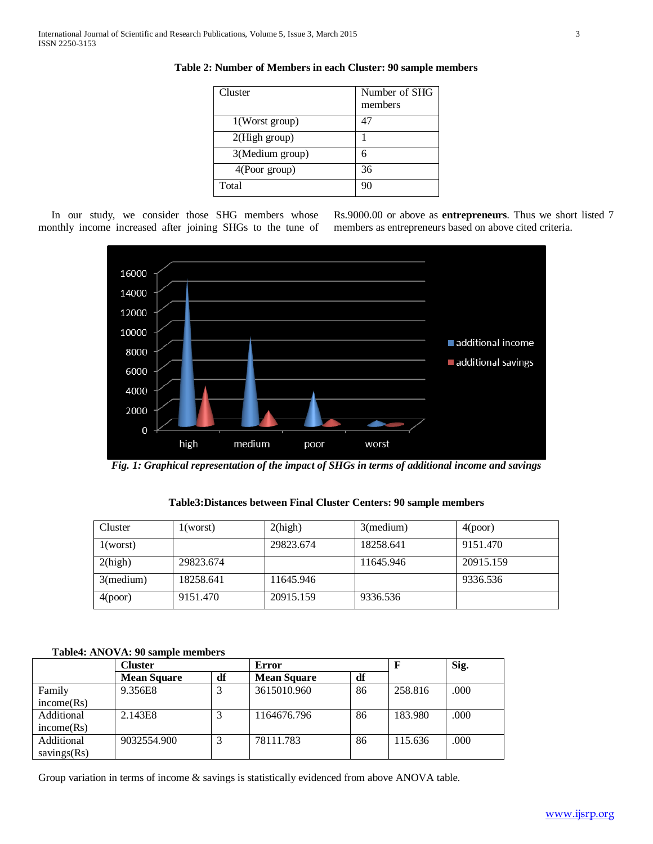| Cluster           | Number of SHG<br>members |
|-------------------|--------------------------|
| $1$ (Worst group) | 47                       |
| 2(High group)     |                          |
| 3(Medium group)   |                          |
| 4(Poor group)     | 36                       |
| Total             | 90                       |

**Table 2: Number of Members in each Cluster: 90 sample members**

 In our study, we consider those SHG members whose monthly income increased after joining SHGs to the tune of

Rs.9000.00 or above as **entrepreneurs**. Thus we short listed 7 members as entrepreneurs based on above cited criteria.



*Fig. 1: Graphical representation of the impact of SHGs in terms of additional income and savings*

| Cluster   | 1 (worst) | 2(high)   | $3$ (medium) | 4(poor)   |
|-----------|-----------|-----------|--------------|-----------|
| 1(worst)  |           | 29823.674 | 18258.641    | 9151.470  |
| 2(high)   | 29823.674 |           | 11645.946    | 20915.159 |
| 3(medium) | 18258.641 | 11645.946 |              | 9336.536  |
| 4(poor)   | 9151.470  | 20915.159 | 9336.536     |           |

**Table3:Distances between Final Cluster Centers: 90 sample members**

## **Table4: ANOVA: 90 sample members**

|                | Cluster            |    | Error              |    | $\mathbf F$ | Sig. |
|----------------|--------------------|----|--------------------|----|-------------|------|
|                | <b>Mean Square</b> | df | <b>Mean Square</b> | df |             |      |
| Family         | 9.356E8            |    | 3615010.960        | 86 | 258.816     | .000 |
| income(Rs)     |                    |    |                    |    |             |      |
| Additional     | 2.143E8            |    | 1164676.796        | 86 | 183.980     | .000 |
| income(Rs)     |                    |    |                    |    |             |      |
| Additional     | 9032554.900        |    | 78111.783          | 86 | 115.636     | .000 |
| savings $(Rs)$ |                    |    |                    |    |             |      |

Group variation in terms of income & savings is statistically evidenced from above ANOVA table.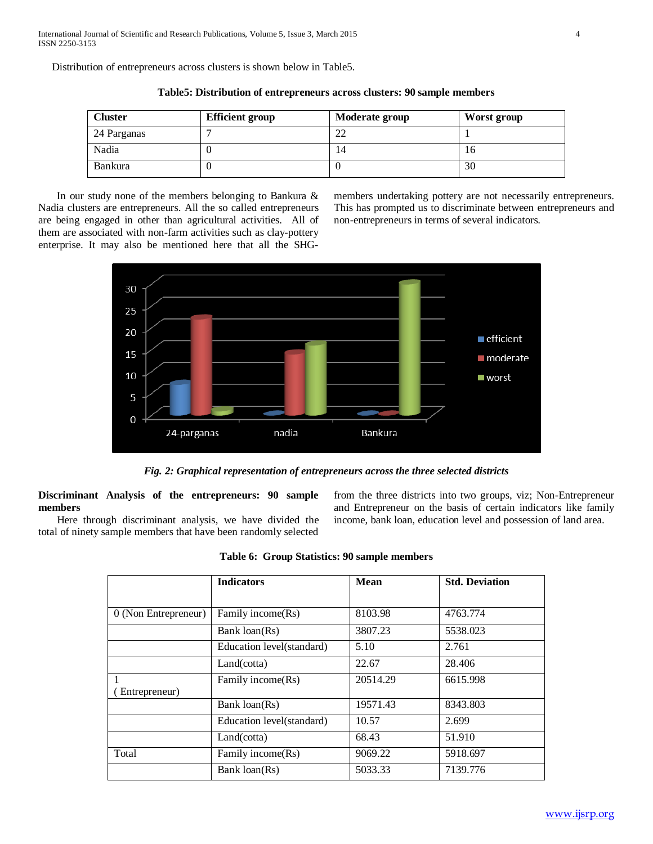Distribution of entrepreneurs across clusters is shown below in Table5.

| <b>Cluster</b> | <b>Efficient group</b> | Moderate group | Worst group |
|----------------|------------------------|----------------|-------------|
| 24 Parganas    |                        | ∠∠             |             |
| Nadia          |                        | 14             | 1Ο          |
| <b>Bankura</b> |                        |                | 30          |

**Table5: Distribution of entrepreneurs across clusters: 90 sample members**

 In our study none of the members belonging to Bankura & Nadia clusters are entrepreneurs. All the so called entrepreneurs are being engaged in other than agricultural activities. All of them are associated with non-farm activities such as clay-pottery enterprise. It may also be mentioned here that all the SHG-

members undertaking pottery are not necessarily entrepreneurs. This has prompted us to discriminate between entrepreneurs and non-entrepreneurs in terms of several indicators.



*Fig. 2: Graphical representation of entrepreneurs across the three selected districts*

**Discriminant Analysis of the entrepreneurs: 90 sample members**

 Here through discriminant analysis, we have divided the total of ninety sample members that have been randomly selected from the three districts into two groups, viz; Non-Entrepreneur and Entrepreneur on the basis of certain indicators like family income, bank loan, education level and possession of land area.

|  |  | Table 6: Group Statistics: 90 sample members |  |  |  |
|--|--|----------------------------------------------|--|--|--|
|--|--|----------------------------------------------|--|--|--|

|                      | <b>Indicators</b>         | Mean     | <b>Std. Deviation</b> |
|----------------------|---------------------------|----------|-----------------------|
|                      |                           |          |                       |
| 0 (Non Entrepreneur) | Family income(Rs)         | 8103.98  | 4763.774              |
|                      | Bank loan(Rs)             | 3807.23  | 5538.023              |
|                      | Education level(standard) | 5.10     | 2.761                 |
|                      | Land(cotta)               | 22.67    | 28.406                |
|                      | Family income(Rs)         | 20514.29 | 6615.998              |
| Entrepreneur)        |                           |          |                       |
|                      | Bank loan(Rs)             | 19571.43 | 8343.803              |
|                      | Education level(standard) | 10.57    | 2.699                 |
|                      | Land(cotta)               | 68.43    | 51.910                |
| Total                | Family income (Rs)        | 9069.22  | 5918.697              |
|                      | Bank loan(Rs)             | 5033.33  | 7139.776              |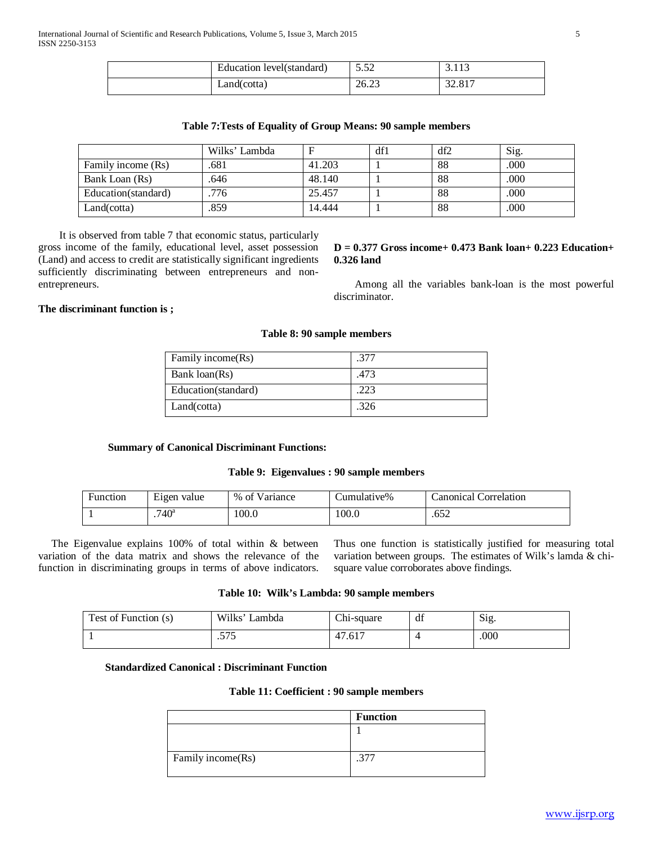| Education level(standard) | $\epsilon$<br>ے ر.ر | ں 1 1 ب |
|---------------------------|---------------------|---------|
| Land(cotta)               | 26.23               | 32.817  |

|                      | Wilks' Lambda |        | df1 | df2 | Sig. |
|----------------------|---------------|--------|-----|-----|------|
| Family income (Rs)   | .681          | 41.203 |     | 88  | .000 |
| Bank Loan (Rs)       | .646          | 48.140 |     | 88  | .000 |
| Education (standard) | 776           | 25.457 |     | 88  | .000 |
| Land(cotta)          | .859          | 14.444 |     | 88  | .000 |

 It is observed from table 7 that economic status, particularly gross income of the family, educational level, asset possession (Land) and access to credit are statistically significant ingredients sufficiently discriminating between entrepreneurs and nonentrepreneurs.

#### **D = 0.377 Gross income+ 0.473 Bank loan+ 0.223 Education+ 0.326 land**

 Among all the variables bank-loan is the most powerful discriminator.

## **The discriminant function is ;**

## **Table 8: 90 sample members**

| Family income(Rs)   | .377 |
|---------------------|------|
| Bank loan(Rs)       | .473 |
| Education(standard) | 223  |
| Land(cotta)         | .326 |

#### **Summary of Canonical Discriminant Functions:**

#### **Table 9: Eigenvalues : 90 sample members**

| Function | T.<br>Eigen value | % of Variance | Cumulative% | Canonical Correlation |
|----------|-------------------|---------------|-------------|-----------------------|
|          | .740 <sup>a</sup> | 100.0         | 100.0       | .652                  |

 The Eigenvalue explains 100% of total within & between variation of the data matrix and shows the relevance of the function in discriminating groups in terms of above indicators. Thus one function is statistically justified for measuring total variation between groups. The estimates of Wilk's lamda & chisquare value corroborates above findings.

#### **Table 10: Wilk's Lambda: 90 sample members**

| Test of Function (s) | Wilks' Lambda  | Chi-square | df | Sig. |
|----------------------|----------------|------------|----|------|
|                      | e m e<br>ن اين | 47.617     |    | .000 |

#### **Standardized Canonical : Discriminant Function**

#### **Table 11: Coefficient : 90 sample members**

|                   | <b>Function</b> |
|-------------------|-----------------|
|                   |                 |
|                   |                 |
| Family income(Rs) |                 |
|                   |                 |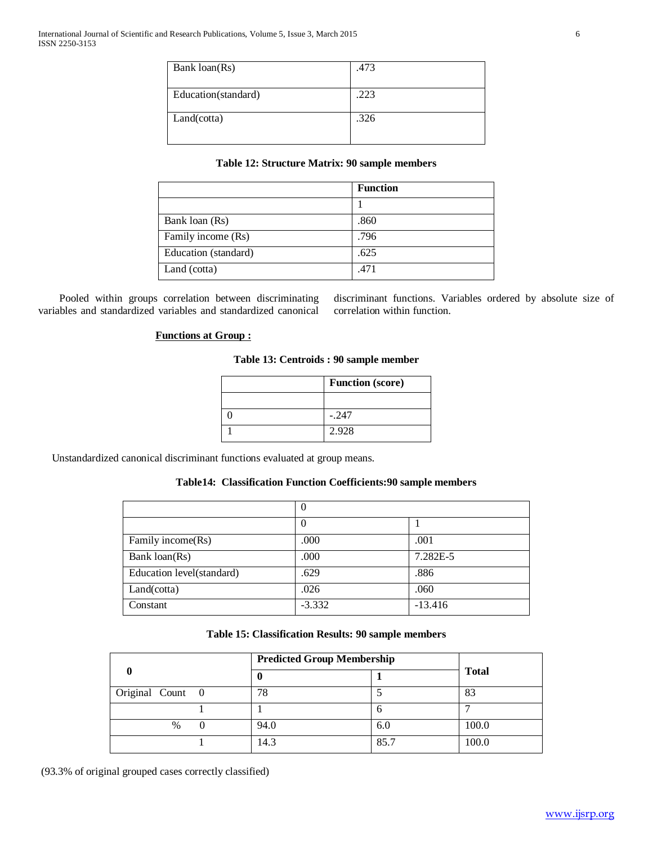| Bank loan(Rs)       | .473 |
|---------------------|------|
| Education(standard) | .223 |
| Land(cotta)         | .326 |

## **Table 12: Structure Matrix: 90 sample members**

|                      | <b>Function</b> |
|----------------------|-----------------|
|                      |                 |
| Bank loan (Rs)       | .860            |
| Family income (Rs)   | .796            |
| Education (standard) | .625            |
| Land (cotta)         | .471            |

 Pooled within groups correlation between discriminating variables and standardized variables and standardized canonical

discriminant functions. Variables ordered by absolute size of correlation within function.

## **Functions at Group :**

## **Table 13: Centroids : 90 sample member**

| <b>Function</b> (score) |  |
|-------------------------|--|
|                         |  |
| $-.247$                 |  |
| 2.928                   |  |

Unstandardized canonical discriminant functions evaluated at group means.

## **Table14: Classification Function Coefficients:90 sample members**

|                           | v        |           |  |
|---------------------------|----------|-----------|--|
|                           | O        |           |  |
| Family income(Rs)         | .000     | .001      |  |
| Bank loan(Rs)             | .000     | 7.282E-5  |  |
| Education level(standard) | .629     | .886      |  |
| Land(cotta)               | .026     | .060      |  |
| Constant                  | $-3.332$ | $-13.416$ |  |

#### **Table 15: Classification Results: 90 sample members**

|                  | <b>Predicted Group Membership</b> |      |              |  |
|------------------|-----------------------------------|------|--------------|--|
|                  |                                   |      | <b>Total</b> |  |
| Original Count 0 | 78                                |      | 83           |  |
|                  |                                   | 6    |              |  |
| $\frac{0}{0}$    | 94.0                              | 6.0  | 100.0        |  |
|                  | 14.3                              | 85.7 | 100.0        |  |

(93.3% of original grouped cases correctly classified)